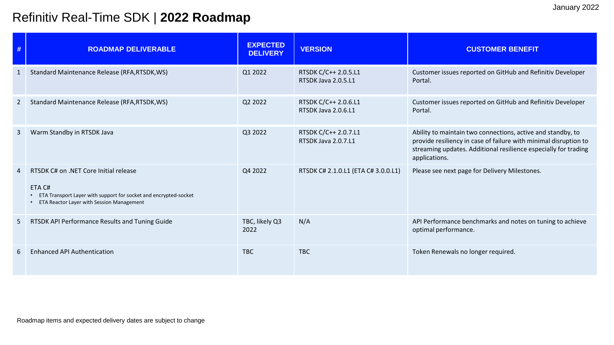## Refinitiv Real-Time SDK | **2022 Roadmap**

| #                     | <b>ROADMAP DELIVERABLE</b>                                                                                                                                       | <b>EXPECTED</b><br><b>DELIVERY</b> | <b>VERSION</b>                              | <b>CUSTOMER BENEFIT</b>                                                                                                                                                                                             |
|-----------------------|------------------------------------------------------------------------------------------------------------------------------------------------------------------|------------------------------------|---------------------------------------------|---------------------------------------------------------------------------------------------------------------------------------------------------------------------------------------------------------------------|
| -1                    | Standard Maintenance Release (RFA, RTSDK, WS)                                                                                                                    | Q1 2022                            | RTSDK C/C++ 2.0.5.L1<br>RTSDK Java 2.0.5.L1 | Customer issues reported on GitHub and Refinitiv Developer<br>Portal.                                                                                                                                               |
| 2                     | Standard Maintenance Release (RFA, RTSDK, WS)                                                                                                                    | Q2 2022                            | RTSDK C/C++ 2.0.6.L1<br>RTSDK Java 2.0.6.L1 | Customer issues reported on GitHub and Refinitiv Developer<br>Portal.                                                                                                                                               |
| -3                    | Warm Standby in RTSDK Java                                                                                                                                       | Q3 2022                            | RTSDK C/C++ 2.0.7.L1<br>RTSDK Java 2.0.7.L1 | Ability to maintain two connections, active and standby, to<br>provide resiliency in case of failure with minimal disruption to<br>streaming updates. Additional resilience especially for trading<br>applications. |
| $\boldsymbol{\Delta}$ | RTSDK C# on .NET Core Initial release<br>ETA C#<br>ETA Transport Layer with support for socket and encrypted-socket<br>ETA Reactor Layer with Session Management | Q4 2022                            | RTSDK C# 2.1.0.L1 (ETA C# 3.0.0.L1)         | Please see next page for Delivery Milestones.                                                                                                                                                                       |
| 5                     | RTSDK API Performance Results and Tuning Guide                                                                                                                   | TBC, likely Q3<br>2022             | N/A                                         | API Performance benchmarks and notes on tuning to achieve<br>optimal performance.                                                                                                                                   |
| 6                     | <b>Enhanced API Authentication</b>                                                                                                                               | <b>TBC</b>                         | <b>TBC</b>                                  | Token Renewals no longer required.                                                                                                                                                                                  |